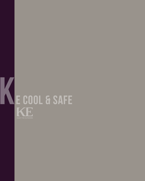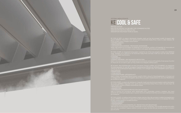KE COOL & SAFE, un sistema nebulizzante integrato creato per due dei principali modelli di pergole della gamma GENNIUS. Disponibile come optional per la bioclimatica Kedry Prime e Isola 3 a tetto ribassato, KE

COOL & SAFE unisce molteplici nuove funzioni: • RAFFRESCAMENTO

- SANIFICAZIONE
- VAPORIZZATORE DI ESSENZE / PROTEZIONE ANTIZANZARE

Ideale negli ambienti di convivialità, sia residenziali che commerciali, contract e di hospitality. Un nuovo senso di

range. Available as an optional for the bioclimatic Kedry Prime and Isola 3 with low roof, KE COOL & SAFE

- COOLING
- SANITIZATION

• ESSENCE VAPORIZER / ANTI-MOSQUITO PROTECTION

KE ist bereit, diese Anforderungen mit einer innovativen Lösung zu erfüllen: KE COOL&SAFE, ein integriertes optional für die bioklimatische Kedry Prime und Isola 3 mit niedrigem Dach. KE COOL&SAFE vereint mehrere

Vernebelungssystem für zwei der wichtigsten Pergolamarkisen-Modelle der GENNIUS-Linie. KE COOL&SAFE ist

- ERFRISCHUNG
- STERILISATION

• ESSENZZERSTÄUBER / MÜCKENSCHUTZ

Ideal in Lokalen zum geselligen Beisammensein, sowohl in Wohn- als auch in Gewerbegebäuden, im Contract und im Gastgewerbe. Ein neues Komfortgefühl, das ein Muss von jedem Outdoorbereich ist, der einer Wohlfühlecke

de la gama GENNIUS. Disponible como opción para la bioclimática Kedry Prime e Isola 3 de techo bajo, KE

- 
- COOL & SAFE combina múltiples características nuevas:
- REFRIGERACIÓN

• VAPORIZADOR DE ESENCIAS/PROTECCIÓN ANTI-MOSQUITO

sensación de confort para aquellos que no quieren renunciar a disfrutar el aire libre como el espacio de bienestar

por excelencia.

KE COOL & SAFE, un système de brumisation intégré créé pour deux des principaux modèles de pergolas de la & SAFE combine plusieurs nouvelles fonctions :

- RAFRAICHISSEMENT
- 

• VAPORISATEUR D'HUILES ESSENTIELLES / PROTECTION ANTI-MOUSTIQUES



# KE COOL & SAFE SISTEMA NEBULIZZANTE

MISTING SYSTEM INNOVACIÓN NÁUTICA PARA EL SOL INNOVATION NAUTIQUE POUR LE SOLEIL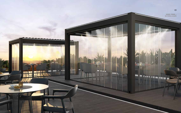



**COMPANY**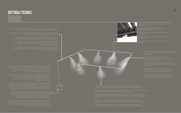# **DETTAGLI TECNICI**

**TECHNICAL DETAILS TECHNISCHE DETAILS DETALLES TÉCNICO DÉTAILS TECHNIQUES** 

% "PIPES SUITABLE FOR HIGH PRESSURE WITH QUICK COUPLING FITTINGS WITH PA-<br>- 12 LINE PIPES, COMPLETELY INTEGRATED IN THE PROFILES.

GARANTIZANDO LA FIABILIDAD A LO LARGO DEL TIEMPO.

JGELLI IN ACCIAIO INOSSIDABILE, RIPULIBILI ED<br>,NTIGOCCIA

THE PUMPING SYSTEM IS COMPATIBLE WITH<br>WATER DILUTED PRODUCTS SUCH AS MOSQUITOES<br>REPELLENTS AND ESSENTIAL OILS.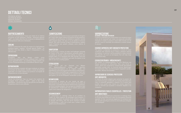## RAFFRESCAMENTO

Permette di pressurizzare l'acqua per mezzo di un sistema pompante ad alta pressione, creando - attraverso appositi

### COOLING

affected area.

#### ERFRISCHUNG

– durch spezielle Düsen – ein ultrafeiner Nebel entsteht, der für eine Temperatursenkung im betroffenen Bereich sorgt.

### **REFRIGERACIÓN**

#### RAFRAICHISSEMENT

pompage haute pression, créant - grâce à des buses température dans la zone affectée.



# **SANIFICAZIONE**

Pressurizzando una miscela di acqua e perossido di idrogeno per mezzo dello stesso sistema pompante ad alta pressione, laterali. Una volta conclusa la fase di sanificazione, basterà

### **SANITIZATION**

by means of the same high-pressure pumping system, it pergola itself, if it is equipped with side closings. Once the

## **STERILISATION**

Hochdruckpumpensystems ist es möglich, Lokale und Oberflächen sowie die Pergolamarkise selbst zu desinfizieren, falls es mit Seitenverschließungen ausgestattet ist. Nach den Desinfektionsprozess abgeschlossen ist, waschen Sie einfach

### **DESINFECCIÓN**

### ASSAINISSEMENT

En pressurisant un mélange d'eau et en purifiant au



#### VAPORIZZATORE DI ESSENZE / PROTEZIONE ANTIZANZARE

specifici come la citronella che aiuteranno a tenere lontane

### ESSENCE VAPORIZER/ANTI-MOSQUITO PROTECTION

### ESSENZZERSTÄUBER / MÜCKENSCHUTZ

Das System ist anpassungsfähig, um eine Mischung aus Wasser kombiniert mit ätherischen Ölen unter Druck zu die helfen, Mücken fernzuhalten.

## VAPORIZADOR DE ESENCIAS/PROTECCIÓN ANTI-MOSQUITOS

posible crear puede crear mezcla con aceites específicos

### VAPORISATEUR D'HUILES ESSENTIELLES / PROTECTION ANTI-MOUSTIQUES

les moustiques.



# DETTAGLI TECNICI

TECHNICAL DETAILS TECHNISCHE DETAILS DETALLES TÉCNICO

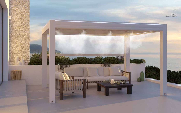